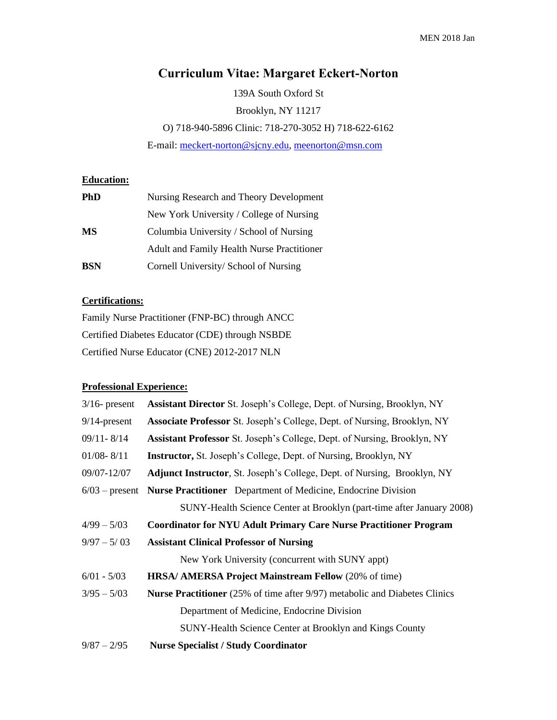# **Curriculum Vitae: Margaret Eckert-Norton**

139A South Oxford St Brooklyn, NY 11217 O) 718-940-5896 Clinic: 718-270-3052 H) 718-622-6162 E-mail[: meckert-norton@sjcny.edu,](mailto:meckert-norton@sjcny.edu) [meenorton@msn.com](mailto:meenorton@msn.com)

## **Education:**

| <b>PhD</b> | Nursing Research and Theory Development    |
|------------|--------------------------------------------|
|            | New York University / College of Nursing   |
| MS         | Columbia University / School of Nursing    |
|            | Adult and Family Health Nurse Practitioner |
| <b>BSN</b> | Cornell University/ School of Nursing      |

## **Certifications:**

Family Nurse Practitioner (FNP-BC) through ANCC Certified Diabetes Educator (CDE) through NSBDE Certified Nurse Educator (CNE) 2012-2017 NLN

## **Professional Experience:**

| $3/16$ - present | <b>Assistant Director</b> St. Joseph's College, Dept. of Nursing, Brooklyn, NY    |
|------------------|-----------------------------------------------------------------------------------|
| $9/14$ -present  | <b>Associate Professor</b> St. Joseph's College, Dept. of Nursing, Brooklyn, NY   |
| $09/11 - 8/14$   | Assistant Professor St. Joseph's College, Dept. of Nursing, Brooklyn, NY          |
| $01/08 - 8/11$   | <b>Instructor, St. Joseph's College, Dept. of Nursing, Brooklyn, NY</b>           |
| 09/07-12/07      | <b>Adjunct Instructor, St. Joseph's College, Dept. of Nursing, Brooklyn, NY</b>   |
|                  | 6/03 – present Nurse Practitioner Department of Medicine, Endocrine Division      |
|                  | SUNY-Health Science Center at Brooklyn (part-time after January 2008)             |
| $4/99 - 5/03$    | <b>Coordinator for NYU Adult Primary Care Nurse Practitioner Program</b>          |
| $9/97 - 5/03$    | <b>Assistant Clinical Professor of Nursing</b>                                    |
|                  | New York University (concurrent with SUNY appt)                                   |
| $6/01 - 5/03$    | <b>HRSA/ AMERSA Project Mainstream Fellow (20% of time)</b>                       |
| $3/95 - 5/03$    | <b>Nurse Practitioner</b> (25% of time after 9/97) metabolic and Diabetes Clinics |
|                  | Department of Medicine, Endocrine Division                                        |
|                  | SUNY-Health Science Center at Brooklyn and Kings County                           |
| $9/87 - 2/95$    | <b>Nurse Specialist / Study Coordinator</b>                                       |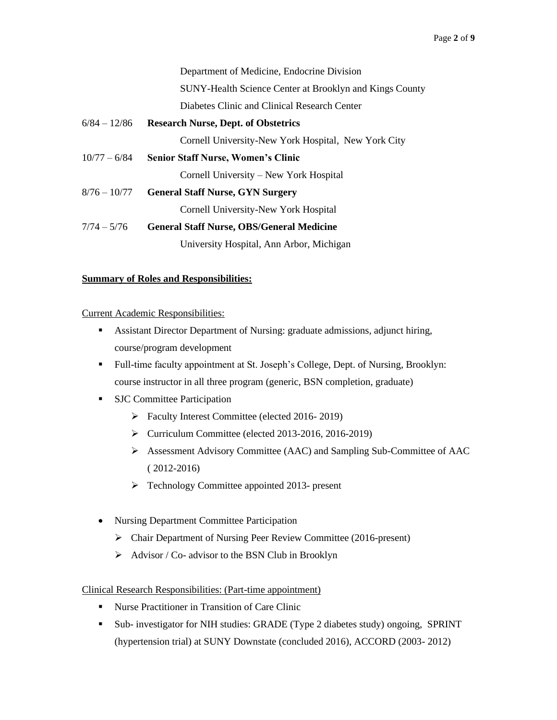Department of Medicine, Endocrine Division SUNY-Health Science Center at Brooklyn and Kings County Diabetes Clinic and Clinical Research Center

- 6/84 12/86 **Research Nurse, Dept. of Obstetrics** Cornell University-New York Hospital, New York City
- 10/77 6/84 **Senior Staff Nurse, Women's Clinic**

Cornell University – New York Hospital

8/76 – 10/77 **General Staff Nurse, GYN Surgery**

Cornell University-New York Hospital

7/74 – 5/76 **General Staff Nurse, OBS/General Medicine** University Hospital, Ann Arbor, Michigan

## **Summary of Roles and Responsibilities:**

Current Academic Responsibilities:

- Assistant Director Department of Nursing: graduate admissions, adjunct hiring, course/program development
- Full-time faculty appointment at St. Joseph's College, Dept. of Nursing, Brooklyn: course instructor in all three program (generic, BSN completion, graduate)
- SJC Committee Participation
	- ➢ Faculty Interest Committee (elected 2016- 2019)
	- ➢ Curriculum Committee (elected 2013-2016, 2016-2019)
	- ➢ Assessment Advisory Committee (AAC) and Sampling Sub-Committee of AAC ( 2012-2016)
	- ➢ Technology Committee appointed 2013- present
- Nursing Department Committee Participation
	- ➢ Chair Department of Nursing Peer Review Committee (2016-present)
	- $\triangleright$  Advisor / Co- advisor to the BSN Club in Brooklyn

## Clinical Research Responsibilities: (Part-time appointment)

- Nurse Practitioner in Transition of Care Clinic
- Sub- investigator for NIH studies: GRADE (Type 2 diabetes study) ongoing, SPRINT (hypertension trial) at SUNY Downstate (concluded 2016), ACCORD (2003- 2012)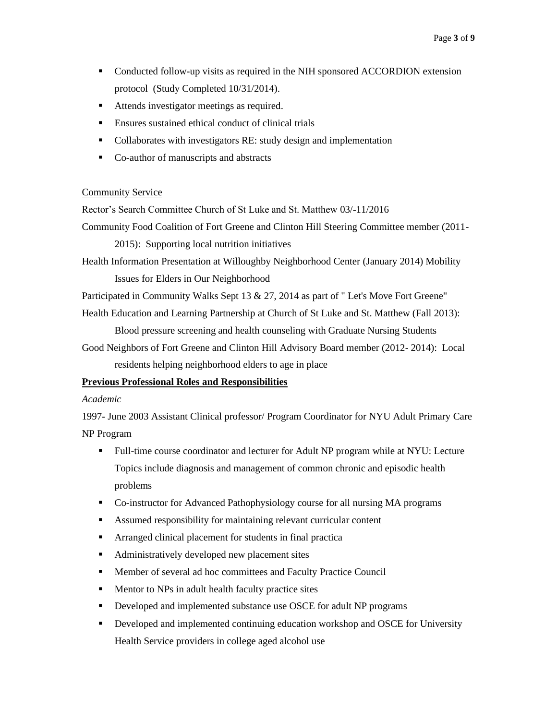- Conducted follow-up visits as required in the NIH sponsored ACCORDION extension protocol (Study Completed 10/31/2014).
- Attends investigator meetings as required.
- Ensures sustained ethical conduct of clinical trials
- Collaborates with investigators RE: study design and implementation
- Co-author of manuscripts and abstracts

#### Community Service

Rector's Search Committee Church of St Luke and St. Matthew 03/-11/2016

Community Food Coalition of Fort Greene and Clinton Hill Steering Committee member (2011-

2015): Supporting local nutrition initiatives

Health Information Presentation at Willoughby Neighborhood Center (January 2014) Mobility Issues for Elders in Our Neighborhood

Participated in Community Walks Sept 13 & 27, 2014 as part of " Let's Move Fort Greene"

Health Education and Learning Partnership at Church of St Luke and St. Matthew (Fall 2013):

Blood pressure screening and health counseling with Graduate Nursing Students

Good Neighbors of Fort Greene and Clinton Hill Advisory Board member (2012- 2014): Local residents helping neighborhood elders to age in place

## **Previous Professional Roles and Responsibilities**

#### *Academic*

1997- June 2003 Assistant Clinical professor/ Program Coordinator for NYU Adult Primary Care NP Program

- Full-time course coordinator and lecturer for Adult NP program while at NYU: Lecture Topics include diagnosis and management of common chronic and episodic health problems
- Co-instructor for Advanced Pathophysiology course for all nursing MA programs
- Assumed responsibility for maintaining relevant curricular content
- Arranged clinical placement for students in final practica
- Administratively developed new placement sites
- Member of several ad hoc committees and Faculty Practice Council
- **■** Mentor to NPs in adult health faculty practice sites
- Developed and implemented substance use OSCE for adult NP programs
- **•** Developed and implemented continuing education workshop and OSCE for University Health Service providers in college aged alcohol use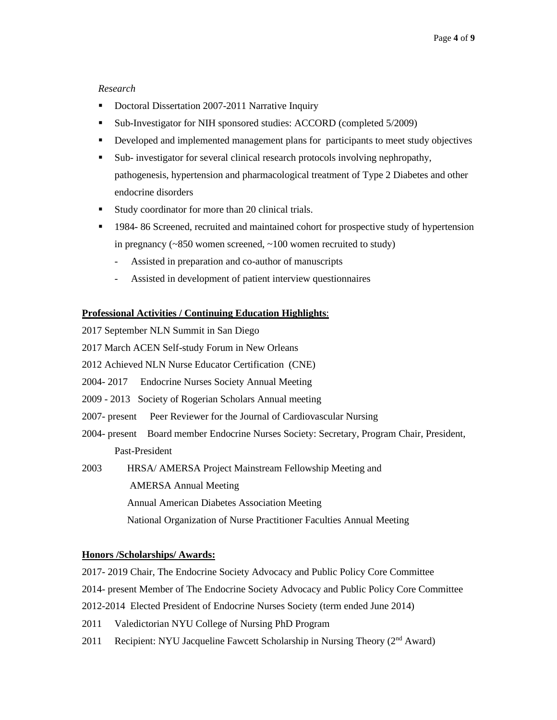## *Research*

- Doctoral Dissertation 2007-2011 Narrative Inquiry
- Sub-Investigator for NIH sponsored studies: ACCORD (completed 5/2009)
- **•** Developed and implemented management plans for participants to meet study objectives
- Sub- investigator for several clinical research protocols involving nephropathy, pathogenesis, hypertension and pharmacological treatment of Type 2 Diabetes and other endocrine disorders
- Study coordinator for more than 20 clinical trials.
- 1984-86 Screened, recruited and maintained cohort for prospective study of hypertension in pregnancy (~850 women screened, ~100 women recruited to study)
	- Assisted in preparation and co-author of manuscripts
	- Assisted in development of patient interview questionnaires

## **Professional Activities / Continuing Education Highlights**:

- 2017 September NLN Summit in San Diego
- 2017 March ACEN Self-study Forum in New Orleans
- 2012 Achieved NLN Nurse Educator Certification (CNE)
- 2004- 2017 Endocrine Nurses Society Annual Meeting
- 2009 2013 Society of Rogerian Scholars Annual meeting
- 2007- present Peer Reviewer for the Journal of Cardiovascular Nursing
- 2004- present Board member Endocrine Nurses Society: Secretary, Program Chair, President, Past-President
- 2003 HRSA/ AMERSA Project Mainstream Fellowship Meeting and
	- AMERSA Annual Meeting
	- Annual American Diabetes Association Meeting

National Organization of Nurse Practitioner Faculties Annual Meeting

#### **Honors /Scholarships/ Awards:**

- 2017- 2019 Chair, The Endocrine Society Advocacy and Public Policy Core Committee
- 2014- present Member of The Endocrine Society Advocacy and Public Policy Core Committee
- 2012-2014 Elected President of Endocrine Nurses Society (term ended June 2014)
- 2011 Valedictorian NYU College of Nursing PhD Program
- 2011 Recipient: NYU Jacqueline Fawcett Scholarship in Nursing Theory  $(2^{nd}$  Award)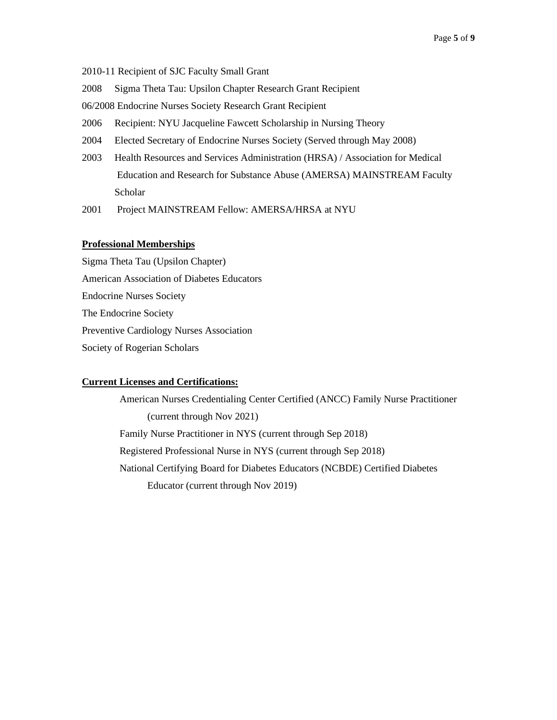2010-11 Recipient of SJC Faculty Small Grant

2008 Sigma Theta Tau: Upsilon Chapter Research Grant Recipient

06/2008 Endocrine Nurses Society Research Grant Recipient

2006 Recipient: NYU Jacqueline Fawcett Scholarship in Nursing Theory

2004 Elected Secretary of Endocrine Nurses Society (Served through May 2008)

2003 Health Resources and Services Administration (HRSA) / Association for Medical Education and Research for Substance Abuse (AMERSA) MAINSTREAM Faculty Scholar

2001 Project MAINSTREAM Fellow: AMERSA/HRSA at NYU

#### **Professional Memberships**

Sigma Theta Tau (Upsilon Chapter) American Association of Diabetes Educators Endocrine Nurses Society The Endocrine Society Preventive Cardiology Nurses Association Society of Rogerian Scholars

#### **Current Licenses and Certifications:**

 American Nurses Credentialing Center Certified (ANCC) Family Nurse Practitioner (current through Nov 2021) Family Nurse Practitioner in NYS (current through Sep 2018) Registered Professional Nurse in NYS (current through Sep 2018) National Certifying Board for Diabetes Educators (NCBDE) Certified Diabetes Educator (current through Nov 2019)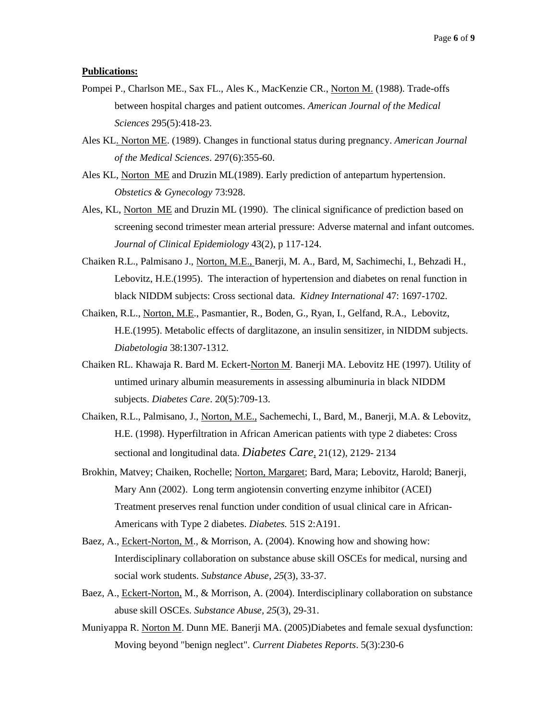#### **Publications:**

- Pompei P., Charlson ME., Sax FL., Ales K., MacKenzie CR., Norton M. (1988). Trade-offs between hospital charges and patient outcomes. *American Journal of the Medical Sciences* 295(5):418-23.
- Ales KL. Norton ME. (1989). Changes in functional status during pregnancy. *American Journal of the Medical Sciences*. 297(6):355-60.
- Ales KL, Norton ME and Druzin ML(1989). Early prediction of antepartum hypertension. *Obstetics & Gynecology* 73:928.
- Ales, KL, Norton ME and Druzin ML (1990). The clinical significance of prediction based on screening second trimester mean arterial pressure: Adverse maternal and infant outcomes. *Journal of Clinical Epidemiology* 43(2), p 117-124.
- Chaiken R.L., Palmisano J., Norton, M.E., Banerji, M. A., Bard, M, Sachimechi, I., Behzadi H., Lebovitz, H.E.(1995). The interaction of hypertension and diabetes on renal function in black NIDDM subjects: Cross sectional data. *Kidney International* 47: 1697-1702.
- Chaiken, R.L., Norton, M.E., Pasmantier, R., Boden, G., Ryan, I., Gelfand, R.A., Lebovitz, H.E.(1995). Metabolic effects of darglitazone, an insulin sensitizer, in NIDDM subjects. *Diabetologia* 38:1307-1312.
- Chaiken RL. Khawaja R. Bard M. Eckert-Norton M. Banerji MA. Lebovitz HE (1997). Utility of untimed urinary albumin measurements in assessing albuminuria in black NIDDM subjects. *Diabetes Care*. 20(5):709-13.
- Chaiken, R.L., Palmisano, J., Norton, M.E., Sachemechi, I., Bard, M., Banerji, M.A. & Lebovitz, H.E. (1998). Hyperfiltration in African American patients with type 2 diabetes: Cross sectional and longitudinal data. *Diabetes Care*, 21(12), 2129- 2134
- Brokhin, Matvey; Chaiken, Rochelle; Norton, Margaret; Bard, Mara; Lebovitz, Harold; Banerji, Mary Ann (2002). Long term angiotensin converting enzyme inhibitor (ACEI) Treatment preserves renal function under condition of usual clinical care in African-Americans with Type 2 diabetes. *Diabetes.* 51S 2:A191.
- Baez, A., Eckert-Norton, M., & Morrison, A. (2004). Knowing how and showing how: Interdisciplinary collaboration on substance abuse skill OSCEs for medical, nursing and social work students. *Substance Abuse, 25*(3), 33-37.
- Baez, A., Eckert-Norton, M., & Morrison, A. (2004). Interdisciplinary collaboration on substance abuse skill OSCEs. *Substance Abuse, 25*(3), 29-31.
- Muniyappa R. Norton M. Dunn ME. Banerji MA. (2005)Diabetes and female sexual dysfunction: Moving beyond "benign neglect". *Current Diabetes Reports*. 5(3):230-6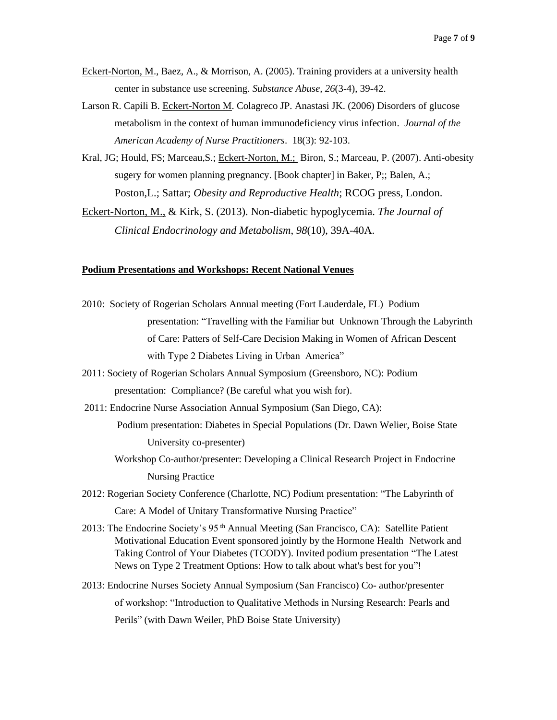- Eckert-Norton, M., Baez, A., & Morrison, A. (2005). Training providers at a university health center in substance use screening. *Substance Abuse, 26*(3-4), 39-42.
- Larson R. Capili B. Eckert-Norton M. Colagreco JP. Anastasi JK. (2006) Disorders of glucose metabolism in the context of human immunodeficiency virus infection. *Journal of the American Academy of Nurse Practitioners*. 18(3): 92-103.
- Kral, JG; Hould, FS; Marceau,S.; Eckert-Norton, M.; Biron, S.; Marceau, P. (2007). Anti-obesity sugery for women planning pregnancy. [Book chapter] in Baker, P;; Balen, A.; Poston,L.; Sattar; *Obesity and Reproductive Health*; RCOG press, London.

Eckert-Norton, M., & Kirk, S. (2013). Non-diabetic hypoglycemia. *The Journal of Clinical Endocrinology and Metabolism*, *98*(10), 39A-40A.

### **Podium Presentations and Workshops: Recent National Venues**

- 2010: Society of Rogerian Scholars Annual meeting (Fort Lauderdale, FL) Podium presentation: "Travelling with the Familiar but Unknown Through the Labyrinth of Care: Patters of Self-Care Decision Making in Women of African Descent with Type 2 Diabetes Living in Urban America"
- 2011: Society of Rogerian Scholars Annual Symposium (Greensboro, NC): Podium presentation: Compliance? (Be careful what you wish for).
- 2011: Endocrine Nurse Association Annual Symposium (San Diego, CA):

Podium presentation: Diabetes in Special Populations (Dr. Dawn Welier, Boise State University co-presenter)

- Workshop Co-author/presenter: Developing a Clinical Research Project in Endocrine Nursing Practice
- 2012: Rogerian Society Conference (Charlotte, NC) Podium presentation: "The Labyrinth of Care: A Model of Unitary Transformative Nursing Practice"
- 2013: The Endocrine Society's 95 th Annual Meeting (San Francisco, CA): Satellite Patient Motivational Education Event sponsored jointly by the Hormone Health Network and Taking Control of Your Diabetes (TCODY). Invited podium presentation "The Latest News on Type 2 Treatment Options: How to talk about what's best for you"!
- 2013: Endocrine Nurses Society Annual Symposium (San Francisco) Co- author/presenter of workshop: "Introduction to Qualitative Methods in Nursing Research: Pearls and Perils" (with Dawn Weiler, PhD Boise State University)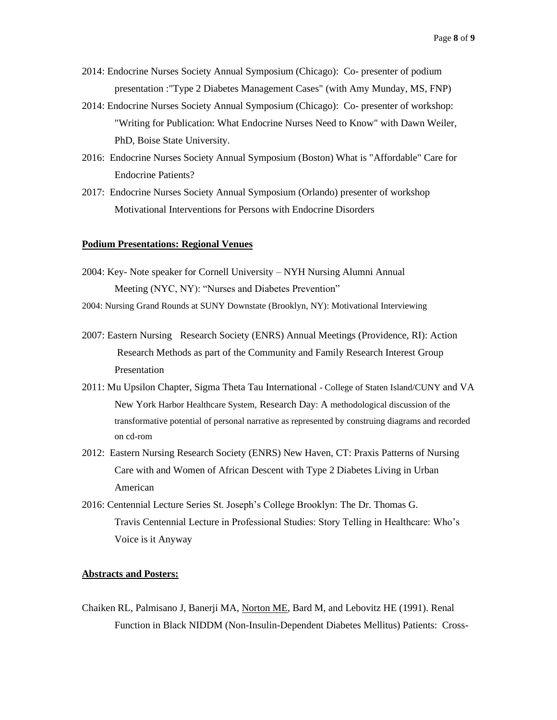- 2014: Endocrine Nurses Society Annual Symposium (Chicago): Co- presenter of podium presentation :"Type 2 Diabetes Management Cases" (with Amy Munday, MS, FNP)
- 2014: Endocrine Nurses Society Annual Symposium (Chicago): Co- presenter of workshop: "Writing for Publication: What Endocrine Nurses Need to Know" with Dawn Weiler, PhD, Boise State University.
- 2016: Endocrine Nurses Society Annual Symposium (Boston) What is "Affordable" Care for Endocrine Patients?
- 2017: Endocrine Nurses Society Annual Symposium (Orlando) presenter of workshop Motivational Interventions for Persons with Endocrine Disorders

#### **Podium Presentations: Regional Venues**

- 2004: Key- Note speaker for Cornell University NYH Nursing Alumni Annual Meeting (NYC, NY): "Nurses and Diabetes Prevention"
- 2004: Nursing Grand Rounds at SUNY Downstate (Brooklyn, NY): Motivational Interviewing
- 2007: Eastern Nursing Research Society (ENRS) Annual Meetings (Providence, RI): Action Research Methods as part of the Community and Family Research Interest Group Presentation
- 2011: Mu Upsilon Chapter, Sigma Theta Tau International College of Staten Island/CUNY and VA New York Harbor Healthcare System, Research Day: A methodological discussion of the transformative potential of personal narrative as represented by construing diagrams and recorded on cd-rom
- 2012: Eastern Nursing Research Society (ENRS) New Haven, CT: Praxis Patterns of Nursing Care with and Women of African Descent with Type 2 Diabetes Living in Urban American
- 2016: Centennial Lecture Series St. Joseph's College Brooklyn: The Dr. Thomas G. Travis Centennial Lecture in Professional Studies: Story Telling in Healthcare: Who's Voice is it Anyway

#### **Abstracts and Posters:**

Chaiken RL, Palmisano J, Banerji MA, Norton ME, Bard M, and Lebovitz HE (1991). Renal Function in Black NIDDM (Non-Insulin-Dependent Diabetes Mellitus) Patients: Cross-